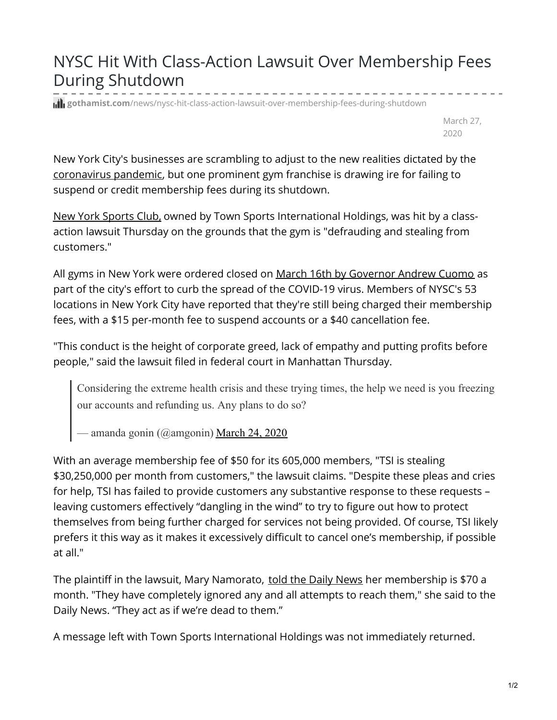## NYSC Hit With Class-Action Lawsuit Over Membership Fees During Shutdown

**gill gothamist.com**[/news/nysc-hit-class-action-lawsuit-over-membership-fees-during-shutdown](https://gothamist.com/news/nysc-hit-class-action-lawsuit-over-membership-fees-during-shutdown)

March 27, 2020

New York City's businesses are scrambling to adjust to the new realities dictated by the [coronavirus](https://gothamist.com/news/coronavirus-updates-nyc-reports-highest-single-day-death-toll) pandemic, but one prominent gym franchise is drawing ire for failing to suspend or credit membership fees during its shutdown.

New York [Sports](https://www.newyorksportsclubs.com/) Club, owned by Town Sports International Holdings, was hit by a classaction lawsuit Thursday on the grounds that the gym is "defrauding and stealing from customers."

All gyms in New York were ordered closed on March 16th by [Governor](https://gothamist.com/food/cuomo-announces-bars-restaurants-can-sell-go-cocktails-during-coronavirus-shutdown) Andrew Cuomo as part of the city's effort to curb the spread of the COVID-19 virus. Members of NYSC's 53 locations in New York City have reported that they're still being charged their membership fees, with a \$15 per-month fee to suspend accounts or a \$40 cancellation fee.

"This conduct is the height of corporate greed, lack of empathy and putting profits before people," said the lawsuit filed in federal court in Manhattan Thursday.

Considering the extreme health crisis and these trying times, the help we need is you freezing our accounts and refunding us. Any plans to do so?

— amanda gonin (@amgonin) [March](https://twitter.com/amgonin/status/1242498985887227908?ref_src=twsrc%5Etfw) 24, 2020

With an average membership fee of \$50 for its 605,000 members, "TSI is stealing \$30,250,000 per month from customers," the lawsuit claims. "Despite these pleas and cries for help, TSI has failed to provide customers any substantive response to these requests – leaving customers effectively "dangling in the wind" to try to figure out how to protect themselves from being further charged for services not being provided. Of course, TSI likely prefers it this way as it makes it excessively difficult to cancel one's membership, if possible at all."

The plaintiff in the lawsuit, Mary Namorato, told the Daily [News](https://www.nydailynews.com/new-york/ny-coronavirus-new-york-sports-club-lawsuit-20200326-czp4wa426bbs5pxlxsklh2npnu-story.html) her membership is \$70 a month. "They have completely ignored any and all attempts to reach them," she said to the Daily News. "They act as if we're dead to them."

A message left with Town Sports International Holdings was not immediately returned.